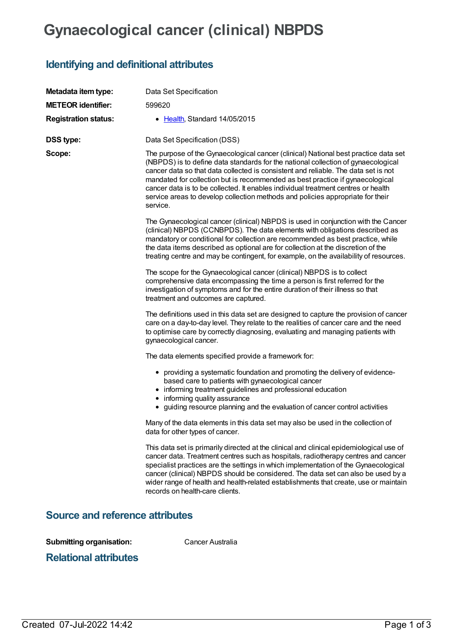## **Gynaecological cancer (clinical) NBPDS**

## **Identifying and definitional attributes**

| Metadata item type:                    | Data Set Specification                                                                                                                                                                                                                                                                                                                                                                                                                                                                                                             |  |  |  |
|----------------------------------------|------------------------------------------------------------------------------------------------------------------------------------------------------------------------------------------------------------------------------------------------------------------------------------------------------------------------------------------------------------------------------------------------------------------------------------------------------------------------------------------------------------------------------------|--|--|--|
| <b>METEOR identifier:</b>              | 599620                                                                                                                                                                                                                                                                                                                                                                                                                                                                                                                             |  |  |  |
| <b>Registration status:</b>            | • Health, Standard 14/05/2015                                                                                                                                                                                                                                                                                                                                                                                                                                                                                                      |  |  |  |
| <b>DSS type:</b>                       | Data Set Specification (DSS)                                                                                                                                                                                                                                                                                                                                                                                                                                                                                                       |  |  |  |
| Scope:                                 | The purpose of the Gynaecological cancer (clinical) National best practice data set<br>(NBPDS) is to define data standards for the national collection of gynaecological<br>cancer data so that data collected is consistent and reliable. The data set is not<br>mandated for collection but is recommended as best practice if gynaecological<br>cancer data is to be collected. It enables individual treatment centres or health<br>service areas to develop collection methods and policies appropriate for their<br>service. |  |  |  |
|                                        | The Gynaecological cancer (clinical) NBPDS is used in conjunction with the Cancer<br>(clinical) NBPDS (CCNBPDS). The data elements with obligations described as<br>mandatory or conditional for collection are recommended as best practice, while<br>the data items described as optional are for collection at the discretion of the<br>treating centre and may be contingent, for example, on the availability of resources.                                                                                                   |  |  |  |
|                                        | The scope for the Gynaecological cancer (clinical) NBPDS is to collect<br>comprehensive data encompassing the time a person is first referred for the<br>investigation of symptoms and for the entire duration of their illness so that<br>treatment and outcomes are captured.                                                                                                                                                                                                                                                    |  |  |  |
|                                        | The definitions used in this data set are designed to capture the provision of cancer<br>care on a day-to-day level. They relate to the realities of cancer care and the need<br>to optimise care by correctly diagnosing, evaluating and managing patients with<br>gynaecological cancer.                                                                                                                                                                                                                                         |  |  |  |
|                                        | The data elements specified provide a framework for:                                                                                                                                                                                                                                                                                                                                                                                                                                                                               |  |  |  |
|                                        | • providing a systematic foundation and promoting the delivery of evidence-<br>based care to patients with gynaecological cancer<br>• informing treatment guidelines and professional education<br>• informing quality assurance<br>• guiding resource planning and the evaluation of cancer control activities                                                                                                                                                                                                                    |  |  |  |
|                                        | Many of the data elements in this data set may also be used in the collection of<br>data for other types of cancer.                                                                                                                                                                                                                                                                                                                                                                                                                |  |  |  |
|                                        | This data set is primarily directed at the clinical and clinical epidemiological use of<br>cancer data. Treatment centres such as hospitals, radiotherapy centres and cancer<br>specialist practices are the settings in which implementation of the Gynaecological<br>cancer (clinical) NBPDS should be considered. The data set can also be used by a<br>wider range of health and health-related establishments that create, use or maintain<br>records on health-care clients.                                                 |  |  |  |
| <b>Source and reference attributes</b> |                                                                                                                                                                                                                                                                                                                                                                                                                                                                                                                                    |  |  |  |

**Submitting organisation:** Cancer Australia

**Relational attributes**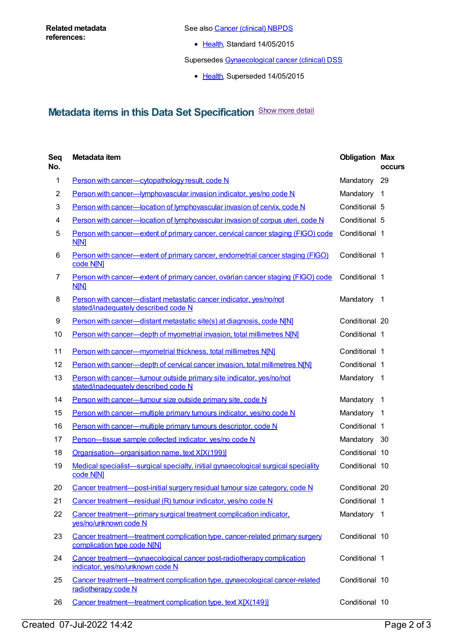See also Cancer [\(clinical\)](https://meteor.aihw.gov.au/content/597861) NBPDS

• [Health](https://meteor.aihw.gov.au/RegistrationAuthority/12), Standard 14/05/2015

Supersedes [Gynaecological](https://meteor.aihw.gov.au/content/421105) cancer (clinical) DSS

• [Health](https://meteor.aihw.gov.au/RegistrationAuthority/12), Superseded 14/05/2015

## **Metadata items in this Data Set Specification** Show more detail

| Seq<br>No.     | Metadata item                                                                                                | <b>Obligation Max</b> | <b>occurs</b>  |
|----------------|--------------------------------------------------------------------------------------------------------------|-----------------------|----------------|
| 1              | Person with cancer-cytopathology result, code N                                                              | Mandatory             | - 29           |
| $\overline{c}$ | Person with cancer-lymphovascular invasion indicator, yes/no code N                                          | Mandatory 1           |                |
| 3              | Person with cancer-location of lymphovascular invasion of cervix, code N                                     | Conditional 5         |                |
| 4              | Person with cancer—location of lymphovascular invasion of corpus uteri, code N                               | Conditional 5         |                |
| 5              | Person with cancer—extent of primary cancer, cervical cancer staging (FIGO) code<br>N[N]                     | Conditional 1         |                |
| 6              | Person with cancer—extent of primary cancer, endometrial cancer staging (FIGO)<br>code N[N]                  | Conditional 1         |                |
| 7              | Person with cancer—extent of primary cancer, ovarian cancer staging (FIGO) code<br><b>N[N]</b>               | Conditional 1         |                |
| 8              | Person with cancer-distant metastatic cancer indicator, yes/no/not<br>stated/inadequately described code N   | Mandatory 1           |                |
| 9              | Person with cancer-distant metastatic site(s) at diagnosis, code N[N]                                        | Conditional 20        |                |
| 10             | Person with cancer-depth of myometrial invasion, total millimetres N[N]                                      | Conditional 1         |                |
| 11             | Person with cancer-myometrial thickness, total millimetres N[N]                                              | Conditional 1         |                |
| 12             | Person with cancer-depth of cervical cancer invasion, total millimetres N[N]                                 | Conditional 1         |                |
| 13             | Person with cancer—tumour outside primary site indicator, yes/no/not<br>stated/inadequately described code N | Mandatory 1           |                |
| 14             | Person with cancer—tumour size outside primary site, code N                                                  | Mandatory             | $\overline{1}$ |
| 15             | Person with cancer—multiple primary tumours indicator, yes/no code N                                         | Mandatory 1           |                |
| 16             | Person with cancer—multiple primary tumours descriptor, code N                                               | Conditional 1         |                |
| 17             | Person-tissue sample collected indicator, yes/no code N                                                      | Mandatory 30          |                |
| 18             | Organisation-organisation name, text X[X(199)]                                                               | Conditional 10        |                |
| 19             | Medical specialist-surgical specialty, initial gynaecological surgical speciality<br>code N[N]               | Conditional 10        |                |
| 20             | Cancer treatment-post-initial surgery residual tumour size category, code N                                  | Conditional 20        |                |
| 21             | Cancer treatment-residual (R) tumour indicator, yes/no code N                                                | Conditional 1         |                |
| 22             | Cancer treatment—primary surgical treatment complication indicator,<br>yes/no/unknown code N                 | Mandatory 1           |                |
| 23             | Cancer treatment—treatment complication type, cancer-related primary surgery<br>complication type code N[N]  | Conditional 10        |                |
| 24             | Cancer treatment—gynaecological cancer post-radiotherapy complication<br>indicator, yes/no/unknown code N    | Conditional 1         |                |
| 25             | Cancer treatment—treatment complication type, gynaecological cancer-related<br>radiotherapy code N           | Conditional 10        |                |
| 26             | Cancer treatment-treatment complication type, text X[X(149)]                                                 | Conditional 10        |                |